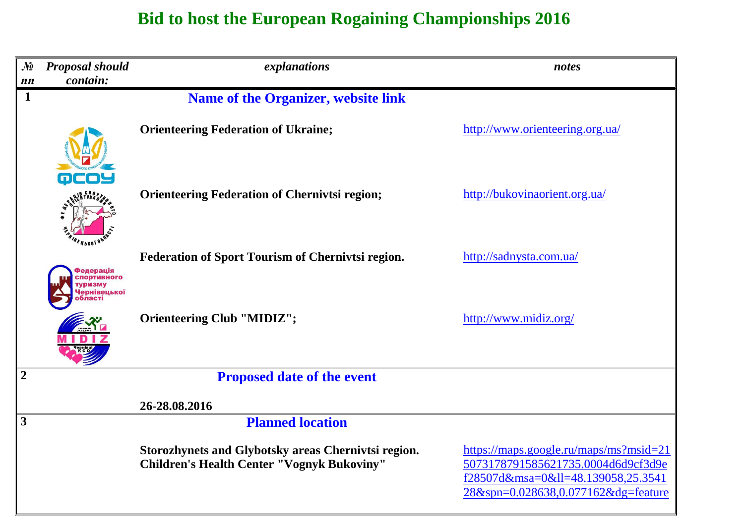# **Bid to host the European Rogaining Championships 2016**

| $\mathcal{N}$<br>nn | <b>Proposal should</b><br>contain: | explanations                                                                                             | notes                                                                                                                                                   |
|---------------------|------------------------------------|----------------------------------------------------------------------------------------------------------|---------------------------------------------------------------------------------------------------------------------------------------------------------|
| $\mathbf 1$         |                                    | <b>Name of the Organizer, website link</b>                                                               |                                                                                                                                                         |
|                     |                                    | <b>Orienteering Federation of Ukraine;</b>                                                               | http://www.orienteering.org.ua/                                                                                                                         |
|                     | oco                                | <b>Orienteering Federation of Chernivtsi region;</b>                                                     | http://bukovinaorient.org.ua/                                                                                                                           |
|                     | едерація<br><b>ПОDТИВНОГО</b>      | <b>Federation of Sport Tourism of Chernivtsi region.</b>                                                 | http://sadnysta.com.ua/                                                                                                                                 |
|                     | Іернівецької                       | <b>Orienteering Club "MIDIZ";</b>                                                                        | http://www.midiz.org/                                                                                                                                   |
| $\overline{2}$      |                                    | <b>Proposed date of the event</b>                                                                        |                                                                                                                                                         |
|                     |                                    | 26-28.08.2016                                                                                            |                                                                                                                                                         |
| $\mathbf{3}$        |                                    | <b>Planned location</b>                                                                                  |                                                                                                                                                         |
|                     |                                    | Storozhynets and Glybotsky areas Chernivtsi region.<br><b>Children's Health Center "Vognyk Bukoviny"</b> | https://maps.google.ru/maps/ms?msid=21<br>5073178791585621735.0004d6d9cf3d9e<br>f28507d&msa=0≪=48.139058,25.3541<br>28&spn=0.028638,0.077162&dg=feature |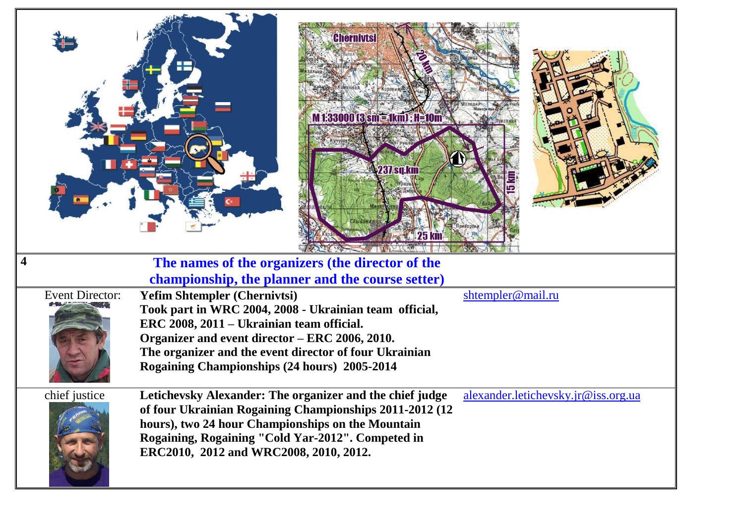|   |                        | <b>Chernivtsi</b><br><b>M133000 <math>3 \text{ }\text{sm} = 1 \text{k} \text{m}</math>); H=10m</b><br><b>237 sq.km</b>                                                                                                                                                  | <b>25 km</b>                        |
|---|------------------------|-------------------------------------------------------------------------------------------------------------------------------------------------------------------------------------------------------------------------------------------------------------------------|-------------------------------------|
| 4 |                        | The names of the organizers (the director of the                                                                                                                                                                                                                        |                                     |
|   |                        | championship, the planner and the course setter)                                                                                                                                                                                                                        |                                     |
|   | <b>Event Director:</b> | <b>Yefim Shtempler (Chernivtsi)</b>                                                                                                                                                                                                                                     | shtempler@mail.ru                   |
|   |                        | Took part in WRC 2004, 2008 - Ukrainian team official,                                                                                                                                                                                                                  |                                     |
|   |                        | ERC 2008, 2011 – Ukrainian team official.                                                                                                                                                                                                                               |                                     |
|   |                        | Organizer and event director - ERC 2006, 2010.                                                                                                                                                                                                                          |                                     |
|   |                        | The organizer and the event director of four Ukrainian                                                                                                                                                                                                                  |                                     |
|   |                        | Rogaining Championships (24 hours) 2005-2014                                                                                                                                                                                                                            |                                     |
|   | chief justice          | Letichevsky Alexander: The organizer and the chief judge<br>of four Ukrainian Rogaining Championships 2011-2012 (12<br>hours), two 24 hour Championships on the Mountain<br>Rogaining, Rogaining "Cold Yar-2012". Competed in<br>ERC2010, 2012 and WRC2008, 2010, 2012. | alexander.letichevsky.jr@iss.org.ua |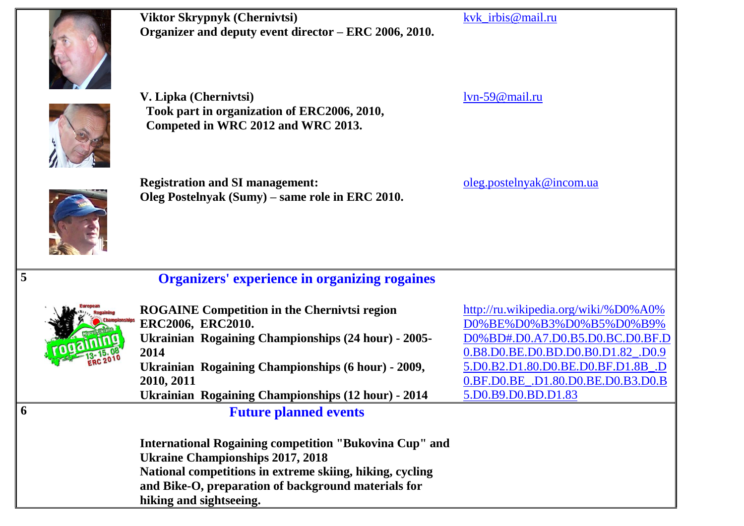

**Viktor Skrypnyk (Chernivtsi) Organizer and deputy event director – ERC 2006, 2010.**

[lvn-59@mail.ru](mailto:lvn-59@mail.ru)

[kvk\\_irbis@mail.ru](mailto:kvk_irbis@mail.ru)



**Registration and SI management: Oleg Postelnyak (Sumy) – same role in ERC 2010.**

**Took part in organization of ERC2006, 2010,**

**Competed in WRC 2012 and WRC 2013.**

**V. Lipka (Chernivtsi)**

**6 Future planned events**

[oleg.postelnyak@incom.ua](mailto:oleg.postelnyak@incom.ua)



### **5 Organizers' experience in organizing rogaines**



**ROGAINE Competition in the Chernivtsi region ERC2006, ERC2010. Ukrainian Rogaining Championships (24 hour) - 2005- 2014 Ukrainian Rogaining Championships (6 hour) - 2009, 2010, 2011 Ukrainian Rogaining Championships (12 hour) - 2014**

[http://ru.wikipedia.org/wiki/%D0%A0%](http://ru.wikipedia.org/wiki/%D0%A0%D0%BE%D0%B3%D0%B5%D0%B9%D0%BD#.D0.A7.D0.B5.D0.BC.D0.BF.D0.B8.D0.BE.D0.BD.D0.B0.D1.82_.D0.95.D0.B2.D1.80.D0.BE.D0.BF.D1.8B_.D0.BF.D0.BE_.D1.80.D0.BE.D0.B3.D0.B5.D0.B9.D0.BD.D1.83) [D0%BE%D0%B3%D0%B5%D0%B9%](http://ru.wikipedia.org/wiki/%D0%A0%D0%BE%D0%B3%D0%B5%D0%B9%D0%BD#.D0.A7.D0.B5.D0.BC.D0.BF.D0.B8.D0.BE.D0.BD.D0.B0.D1.82_.D0.95.D0.B2.D1.80.D0.BE.D0.BF.D1.8B_.D0.BF.D0.BE_.D1.80.D0.BE.D0.B3.D0.B5.D0.B9.D0.BD.D1.83) [D0%BD#.D0.A7.D0.B5.D0.BC.D0.BF.D](http://ru.wikipedia.org/wiki/%D0%A0%D0%BE%D0%B3%D0%B5%D0%B9%D0%BD#.D0.A7.D0.B5.D0.BC.D0.BF.D0.B8.D0.BE.D0.BD.D0.B0.D1.82_.D0.95.D0.B2.D1.80.D0.BE.D0.BF.D1.8B_.D0.BF.D0.BE_.D1.80.D0.BE.D0.B3.D0.B5.D0.B9.D0.BD.D1.83) [0.B8.D0.BE.D0.BD.D0.B0.D1.82\\_.D0.9](http://ru.wikipedia.org/wiki/%D0%A0%D0%BE%D0%B3%D0%B5%D0%B9%D0%BD#.D0.A7.D0.B5.D0.BC.D0.BF.D0.B8.D0.BE.D0.BD.D0.B0.D1.82_.D0.95.D0.B2.D1.80.D0.BE.D0.BF.D1.8B_.D0.BF.D0.BE_.D1.80.D0.BE.D0.B3.D0.B5.D0.B9.D0.BD.D1.83) [5.D0.B2.D1.80.D0.BE.D0.BF.D1.8B\\_.D](http://ru.wikipedia.org/wiki/%D0%A0%D0%BE%D0%B3%D0%B5%D0%B9%D0%BD#.D0.A7.D0.B5.D0.BC.D0.BF.D0.B8.D0.BE.D0.BD.D0.B0.D1.82_.D0.95.D0.B2.D1.80.D0.BE.D0.BF.D1.8B_.D0.BF.D0.BE_.D1.80.D0.BE.D0.B3.D0.B5.D0.B9.D0.BD.D1.83) [0.BF.D0.BE\\_.D1.80.D0.BE.D0.B3.D0.B](http://ru.wikipedia.org/wiki/%D0%A0%D0%BE%D0%B3%D0%B5%D0%B9%D0%BD#.D0.A7.D0.B5.D0.BC.D0.BF.D0.B8.D0.BE.D0.BD.D0.B0.D1.82_.D0.95.D0.B2.D1.80.D0.BE.D0.BF.D1.8B_.D0.BF.D0.BE_.D1.80.D0.BE.D0.B3.D0.B5.D0.B9.D0.BD.D1.83) [5.D0.B9.D0.BD.D1.83](http://ru.wikipedia.org/wiki/%D0%A0%D0%BE%D0%B3%D0%B5%D0%B9%D0%BD#.D0.A7.D0.B5.D0.BC.D0.BF.D0.B8.D0.BE.D0.BD.D0.B0.D1.82_.D0.95.D0.B2.D1.80.D0.BE.D0.BF.D1.8B_.D0.BF.D0.BE_.D1.80.D0.BE.D0.B3.D0.B5.D0.B9.D0.BD.D1.83)

**International Rogaining competition "Bukovina Cup" and Ukraine Championships 2017, 2018 National competitions in extreme skiing, hiking, cycling and Bike-O, preparation of background materials for hiking and sightseeing.**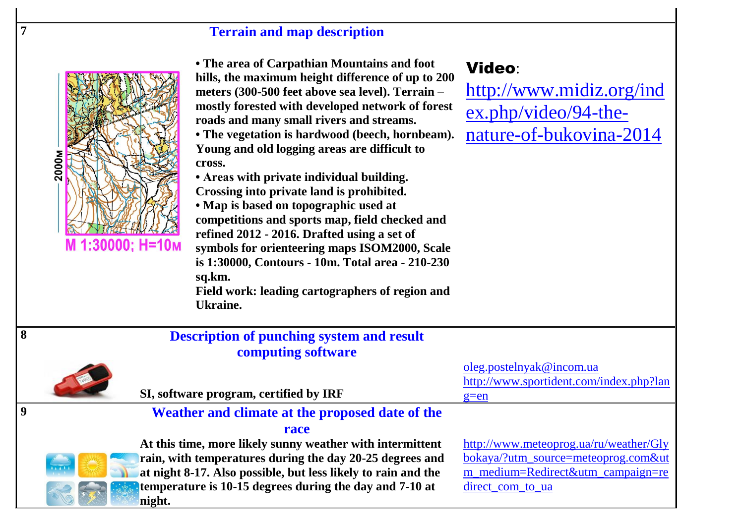## **7 Terrain and map description**



**• The area of Carpathian Mountains and foot hills, the maximum height difference of up to 200 meters (300-500 feet above sea level). Terrain – mostly forested with developed network of forest roads and many small rivers and streams.**

**• The vegetation is hardwood (beech, hornbeam). Young and old logging areas are difficult to cross.**

**• Areas with private individual building. Crossing into private land is prohibited.**

**• Map is based on topographic used at competitions and sports map, field checked and refined 2012 - 2016. Drafted using a set of symbols for orienteering maps ISOM2000, Scale is 1:30000, Contours - 10m. Total area - 210-230 sq.km. Field work: leading cartographers of region and Ukraine.**

# Video:

[http://www.midiz.org/ind](http://www.midiz.org/index.php/video/94-the-nature-of-bukovina-2014) [ex.php/video/94-the](http://www.midiz.org/index.php/video/94-the-nature-of-bukovina-2014)[nature-of-bukovina-2014](http://www.midiz.org/index.php/video/94-the-nature-of-bukovina-2014)

| 8 | <b>Description of punching system and result</b>                        |                                         |
|---|-------------------------------------------------------------------------|-----------------------------------------|
|   | computing software                                                      |                                         |
|   |                                                                         | oleg.postelnyak@incom.ua                |
|   |                                                                         | http://www.sportident.com/index.php?lan |
|   | SI, software program, certified by IRF                                  | $g=en$                                  |
|   | Weather and climate at the proposed date of the                         |                                         |
|   | race                                                                    |                                         |
|   | At this time, more likely sunny weather with intermittent               | http://www.meteoprog.ua/ru/weather/Gly  |
|   | rain, with temperatures during the day 20-25 degrees and<br>$\sqrt{11}$ | bokaya/?utm_source=meteoprog.com&ut     |
|   | at night 8-17. Also possible, but less likely to rain and the           | m_medium=Redirect&utm_campaign=re       |
|   | temperature is 10-15 degrees during the day and 7-10 at                 | direct com to ua                        |
|   | night.                                                                  |                                         |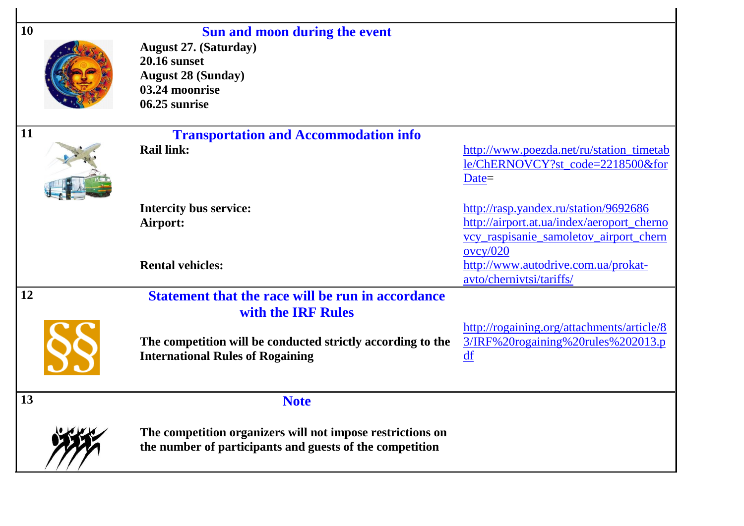| <b>10</b> | Sun and moon during the event<br><b>August 27. (Saturday)</b><br><b>20.16 sunset</b><br><b>August 28 (Sunday)</b><br>03.24 moonrise<br>06.25 sunrise |                                                                                                  |
|-----------|------------------------------------------------------------------------------------------------------------------------------------------------------|--------------------------------------------------------------------------------------------------|
| <b>11</b> | <b>Transportation and Accommodation info</b>                                                                                                         |                                                                                                  |
|           | <b>Rail link:</b>                                                                                                                                    | http://www.poezda.net/ru/station_timetab<br>le/ChERNOVCY?st_code=2218500&for<br>$Date =$         |
|           | <b>Intercity bus service:</b>                                                                                                                        | http://rasp.yandex.ru/station/9692686                                                            |
|           | Airport:                                                                                                                                             | http://airport.at.ua/index/aeroport_cherno<br>vcy_raspisanie_samoletov_airport_chern<br>ovcy/020 |
|           | <b>Rental vehicles:</b>                                                                                                                              | http://www.autodrive.com.ua/prokat-<br>avto/chernivtsi/tariffs/                                  |
| 12        | <b>Statement that the race will be run in accordance</b><br>with the IRF Rules                                                                       |                                                                                                  |
|           | The competition will be conducted strictly according to the<br><b>International Rules of Rogaining</b>                                               | http://rogaining.org/attachments/article/8<br>3/IRF%20rogaining%20rules%202013.p<br>df           |
| 13        | <b>Note</b>                                                                                                                                          |                                                                                                  |
|           | The competition organizers will not impose restrictions on<br>the number of participants and guests of the competition                               |                                                                                                  |